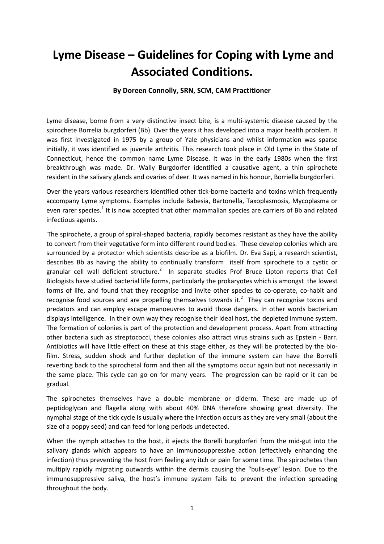# **Lyme Disease – Guidelines for Coping with Lyme and Associated Conditions.**

### **By Doreen Connolly, SRN, SCM, CAM Practitioner**

Lyme disease, borne from a very distinctive insect bite, is a multi-systemic disease caused by the spirochete Borrelia burgdorferi (Bb). Over the years it has developed into a major health problem. It was first investigated in 1975 by a group of Yale physicians and whilst information was sparse initially, it was identified as juvenile arthritis. This research took place in Old Lyme in the State of Connecticut, hence the common name Lyme Disease. It was in the early 1980s when the first breakthrough was made. Dr. Wally Burgdorfer identified a causative agent, a thin spirochete resident in the salivary glands and ovaries of deer. It was named in his honour, Borriella burgdorferi.

Over the years various researchers identified other tick-borne bacteria and toxins which frequently accompany Lyme symptoms. Examples include Babesia, Bartonella, Taxoplasmosis, Mycoplasma or even rarer species.<sup>1</sup> It is now accepted that other mammalian species are carriers of Bb and related infectious agents.

The spirochete, a group of spiral-shaped bacteria, rapidly becomes resistant as they have the ability to convert from their vegetative form into different round bodies. These develop colonies which are surrounded by a protector which scientists describe as a biofilm. Dr. Eva Sapi, a research scientist, describes Bb as having the ability to continually transform itself from spirochete to a cystic or granular cell wall deficient structure.<sup>2</sup> In separate studies Prof Bruce Lipton reports that Cell Biologists have studied bacterial life forms, particularly the prokaryotes which is amongst the lowest forms of life, and found that they recognise and invite other species to co-operate, co-habit and recognise food sources and are propelling themselves towards it.<sup>2</sup> They can recognise toxins and predators and can employ escape manoeuvres to avoid those dangers. In other words bacterium displays intelligence. In their own way they recognise their ideal host, the depleted immune system. The formation of colonies is part of the protection and development process. Apart from attracting other bacteria such as streptococci, these colonies also attract virus strains such as Epstein - Barr. Antibiotics will have little effect on these at this stage either, as they will be protected by the biofilm. Stress, sudden shock and further depletion of the immune system can have the Borrelli reverting back to the spirochetal form and then all the symptoms occur again but not necessarily in the same place. This cycle can go on for many years. The progression can be rapid or it can be gradual.

The spirochetes themselves have a double membrane or diderm. These are made up of peptidoglycan and flagella along with about 40% DNA therefore showing great diversity. The nymphal stage of the tick cycle is usually where the infection occurs as they are very small (about the size of a poppy seed) and can feed for long periods undetected.

When the nymph attaches to the host, it ejects the Borelli burgdorferi from the mid-gut into the salivary glands which appears to have an immunosuppressive action (effectively enhancing the infection) thus preventing the host from feeling any itch or pain for some time. The spirochetes then multiply rapidly migrating outwards within the dermis causing the "bulls-eye" lesion. Due to the immunosuppressive saliva, the host's immune system fails to prevent the infection spreading throughout the body.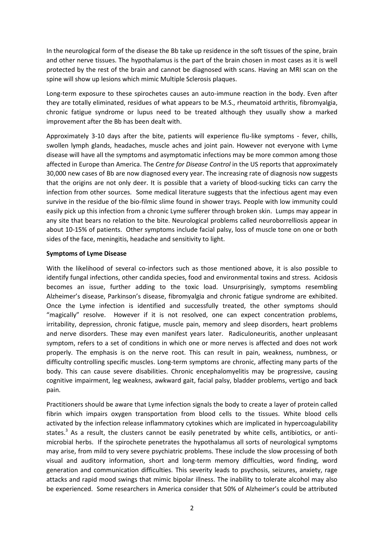In the neurological form of the disease the Bb take up residence in the soft tissues of the spine, brain and other nerve tissues. The hypothalamus is the part of the brain chosen in most cases as it is well protected by the rest of the brain and cannot be diagnosed with scans. Having an MRI scan on the spine will show up lesions which mimic Multiple Sclerosis plaques.

Long-term exposure to these spirochetes causes an auto-immune reaction in the body. Even after they are totally eliminated, residues of what appears to be M.S., rheumatoid arthritis, fibromyalgia, chronic fatigue syndrome or lupus need to be treated although they usually show a marked improvement after the Bb has been dealt with.

Approximately 3-10 days after the bite, patients will experience flu-like symptoms - fever, chills, swollen lymph glands, headaches, muscle aches and joint pain. However not everyone with Lyme disease will have all the symptoms and asymptomatic infections may be more common among those affected in Europe than America. The *Centre for Disease Control* in the US reports that approximately 30,000 new cases of Bb are now diagnosed every year. The increasing rate of diagnosis now suggests that the origins are not only deer. It is possible that a variety of blood-sucking ticks can carry the infection from other sources. Some medical literature suggests that the infectious agent may even survive in the residue of the bio-filmic slime found in shower trays. People with low immunity could easily pick up this infection from a chronic Lyme sufferer through broken skin. Lumps may appear in any site that bears no relation to the bite. Neurological problems called neuroborrelliosis appear in about 10-15% of patients. Other symptoms include facial palsy, loss of muscle tone on one or both sides of the face, meningitis, headache and sensitivity to light.

#### **Symptoms of Lyme Disease**

With the likelihood of several co-infectors such as those mentioned above, it is also possible to identify fungal infections, other candida species, food and environmental toxins and stress. Acidosis becomes an issue, further adding to the toxic load. Unsurprisingly, symptoms resembling Alzheimer's disease, Parkinson's disease, fibromyalgia and chronic fatigue syndrome are exhibited. Once the Lyme infection is identified and successfully treated, the other symptoms should "magically" resolve. However if it is not resolved, one can expect concentration problems, irritability, depression, chronic fatigue, muscle pain, memory and sleep disorders, heart problems and nerve disorders. These may even manifest years later. Radiculoneuritis, another unpleasant symptom, refers to a set of conditions in which one or more nerves is affected and does not work properly. The emphasis is on the nerve root. This can result in pain, weakness, numbness, or difficulty controlling specific muscles. Long-term symptoms are chronic, affecting many parts of the body. This can cause severe disabilities. Chronic encephalomyelitis may be progressive, causing cognitive impairment, leg weakness, awkward gait, facial palsy, bladder problems, vertigo and back pain.

Practitioners should be aware that Lyme infection signals the body to create a layer of protein called fibrin which impairs oxygen transportation from blood cells to the tissues. White blood cells activated by the infection release inflammatory cytokines which are implicated in hypercoagulability states.<sup>3</sup> As a result, the clusters cannot be easily penetrated by white cells, antibiotics, or antimicrobial herbs. If the spirochete penetrates the hypothalamus all sorts of neurological symptoms may arise, from mild to very severe psychiatric problems. These include the slow processing of both visual and auditory information, short and long-term memory difficulties, word finding, word generation and communication difficulties. This severity leads to psychosis, seizures, anxiety, rage attacks and rapid mood swings that mimic bipolar illness. The inability to tolerate alcohol may also be experienced. Some researchers in America consider that 50% of Alzheimer's could be attributed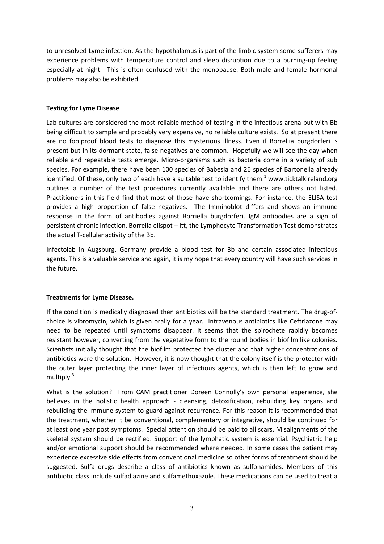to unresolved Lyme infection. As the hypothalamus is part of the limbic system some sufferers may experience problems with temperature control and sleep disruption due to a burning-up feeling especially at night. This is often confused with the menopause. Both male and female hormonal problems may also be exhibited.

#### **Testing for Lyme Disease**

Lab cultures are considered the most reliable method of testing in the infectious arena but with Bb being difficult to sample and probably very expensive, no reliable culture exists. So at present there are no foolproof blood tests to diagnose this mysterious illness. Even if Borrellia burgdorferi is present but in its dormant state, false negatives are common. Hopefully we will see the day when reliable and repeatable tests emerge. Micro-organisms such as bacteria come in a variety of sub species. For example, there have been 100 species of Babesia and 26 species of Bartonella already identified. Of these, only two of each have a suitable test to identify them.<sup>1</sup> www.ticktalkireland.org outlines a number of the test procedures currently available and there are others not listed. Practitioners in this field find that most of those have shortcomings. For instance, the ELISA test provides a high proportion of false negatives. The Imminoblot differs and shows an immune response in the form of antibodies against Borriella burgdorferi. IgM antibodies are a sign of persistent chronic infection. Borrelia elispot – ltt, the Lymphocyte Transformation Test demonstrates the actual T-cellular activity of the Bb.

Infectolab in Augsburg, Germany provide a blood test for Bb and certain associated infectious agents. This is a valuable service and again, it is my hope that every country will have such services in the future.

## **Treatments for Lyme Disease.**

If the condition is medically diagnosed then antibiotics will be the standard treatment. The drug-ofchoice is vibromycin, which is given orally for a year. Intravenous antibiotics like Ceftriazone may need to be repeated until symptoms disappear. It seems that the spirochete rapidly becomes resistant however, converting from the vegetative form to the round bodies in biofilm like colonies. Scientists initially thought that the biofilm protected the cluster and that higher concentrations of antibiotics were the solution. However, it is now thought that the colony itself is the protector with the outer layer protecting the inner layer of infectious agents, which is then left to grow and multiply.<sup>3</sup>

What is the solution? From CAM practitioner Doreen Connolly's own personal experience, she believes in the holistic health approach - cleansing, detoxification, rebuilding key organs and rebuilding the immune system to guard against recurrence. For this reason it is recommended that the treatment, whether it be conventional, complementary or integrative, should be continued for at least one year post symptoms. Special attention should be paid to all scars. Misalignments of the skeletal system should be rectified. Support of the lymphatic system is essential. Psychiatric help and/or emotional support should be recommended where needed. In some cases the patient may experience excessive side effects from conventional medicine so other forms of treatment should be suggested. Sulfa drugs describe a class of antibiotics known as sulfonamides. Members of this antibiotic class include sulfadiazine and sulfamethoxazole. These medications can be used to treat a